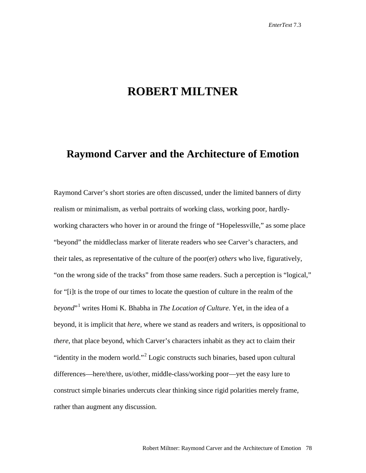## **ROBERT MILTNER**

## **Raymond Carver and the Architecture of Emotion**

Raymond Carver's short stories are often discussed, under the limited banners of dirty realism or minimalism, as verbal portraits of working class, working poor, hardlyworking characters who hover in or around the fringe of "Hopelessville," as some place "beyond" the middleclass marker of literate readers who see Carver's characters, and their tales, as representative of the culture of the poor(er) *others* who live, figuratively, "on the wrong side of the tracks" from those same readers. Such a perception is "logical," for "[i]t is the trope of our times to locate the question of culture in the realm of the *beyond*"[1](#page-13-0) writes Homi K. Bhabha in *The Location of Culture*. Yet, in the idea of a beyond, it is implicit that *here,* where we stand as readers and writers, is oppositional to *there*, that place beyond, which Carver's characters inhabit as they act to claim their "identity in the modern world."[2](#page-13-1) Logic constructs such binaries, based upon cultural differences—here/there, us/other, middle-class/working poor—yet the easy lure to construct simple binaries undercuts clear thinking since rigid polarities merely frame, rather than augment any discussion.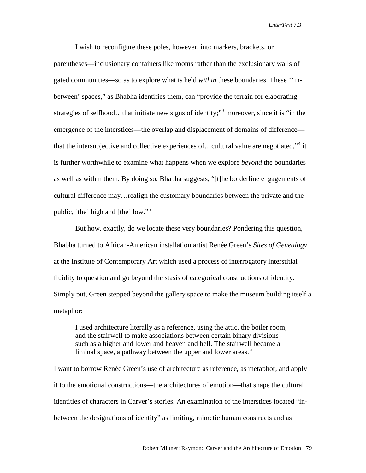I wish to reconfigure these poles, however, into markers, brackets, or parentheses—inclusionary containers like rooms rather than the exclusionary walls of gated communities—so as to explore what is held *within* these boundaries. These "'inbetween' spaces," as Bhabha identifies them, can "provide the terrain for elaborating strategies of selfhood...that initiate new signs of identity;"<sup>[3](#page-13-2)</sup> moreover, since it is "in the emergence of the interstices—the overlap and displacement of domains of difference— that the intersubjective and collective experiences of...cultural value are negotiated,"<sup>[4](#page-13-3)</sup> it is further worthwhile to examine what happens when we explore *beyond* the boundaries as well as within them. By doing so, Bhabha suggests, "[t]he borderline engagements of cultural difference may…realign the customary boundaries between the private and the public, [the] high and [the] low."[5](#page-13-4)

But how, exactly, do we locate these very boundaries? Pondering this question, Bhabha turned to African-American installation artist Renée Green's *Sites of Genealogy* at the Institute of Contemporary Art which used a process of interrogatory interstitial fluidity to question and go beyond the stasis of categorical constructions of identity. Simply put, Green stepped beyond the gallery space to make the museum building itself a metaphor:

I used architecture literally as a reference, using the attic, the boiler room, and the stairwell to make associations between certain binary divisions such as a higher and lower and heaven and hell. The stairwell became a liminal space, a pathway between the upper and lower areas.<sup>[6](#page-13-5)</sup>

I want to borrow Renée Green's use of architecture as reference, as metaphor, and apply it to the emotional constructions—the architectures of emotion—that shape the cultural identities of characters in Carver's stories. An examination of the interstices located "inbetween the designations of identity" as limiting, mimetic human constructs and as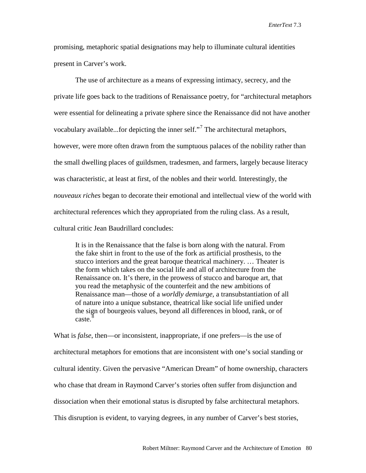promising, metaphoric spatial designations may help to illuminate cultural identities present in Carver's work.

The use of architecture as a means of expressing intimacy, secrecy, and the private life goes back to the traditions of Renaissance poetry, for "architectural metaphors were essential for delineating a private sphere since the Renaissance did not have another vocabulary available...for depicting the inner self."[7](#page-13-6) The architectural metaphors, however, were more often drawn from the sumptuous palaces of the nobility rather than the small dwelling places of guildsmen, tradesmen, and farmers, largely because literacy was characteristic, at least at first, of the nobles and their world. Interestingly, the *nouveaux riches* began to decorate their emotional and intellectual view of the world with architectural references which they appropriated from the ruling class. As a result, cultural critic Jean Baudrillard concludes:

It is in the Renaissance that the false is born along with the natural. From the fake shirt in front to the use of the fork as artificial prosthesis, to the stucco interiors and the great baroque theatrical machinery. … Theater is the form which takes on the social life and all of architecture from the Renaissance on. It's there, in the prowess of stucco and baroque art, that you read the metaphysic of the counterfeit and the new ambitions of Renaissance man—those of a *worldly demiurge,* a transubstantiation of all of nature into a unique substance, theatrical like social life unified under the sign of bourgeois values, beyond all differences in blood, rank, or of  $\text{case.}^8$  $\text{case.}^8$ 

What is *false*, then—or inconsistent, inappropriate, if one prefers—is the use of architectural metaphors for emotions that are inconsistent with one's social standing or cultural identity. Given the pervasive "American Dream" of home ownership, characters who chase that dream in Raymond Carver's stories often suffer from disjunction and dissociation when their emotional status is disrupted by false architectural metaphors. This disruption is evident, to varying degrees, in any number of Carver's best stories,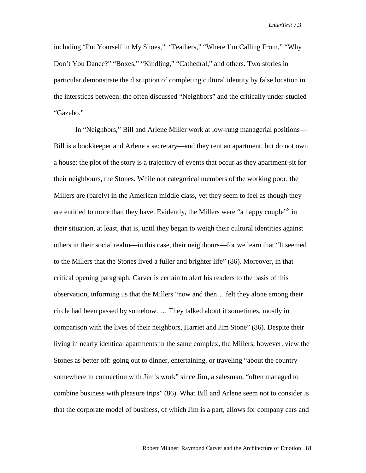including "Put Yourself in My Shoes," "Feathers," "Where I'm Calling From," "Why Don't You Dance?" "Boxes," "Kindling," "Cathedral," and others. Two stories in particular demonstrate the disruption of completing cultural identity by false location in the interstices between: the often discussed "Neighbors" and the critically under-studied "Gazebo."

In "Neighbors," Bill and Arlene Miller work at low-rung managerial positions— Bill is a bookkeeper and Arlene a secretary—and they rent an apartment, but do not own a house: the plot of the story is a trajectory of events that occur as they apartment-sit for their neighbours, the Stones. While not categorical members of the working poor, the Millers are (barely) in the American middle class, yet they seem to feel as though they are entitled to more than they have. Evidently, the Millers were "a happy couple"<sup>[9](#page-13-8)</sup> in their situation, at least, that is, until they began to weigh their cultural identities against others in their social realm—in this case, their neighbours—for we learn that "It seemed to the Millers that the Stones lived a fuller and brighter life" (86). Moreover, in that critical opening paragraph, Carver is certain to alert his readers to the basis of this observation, informing us that the Millers "now and then… felt they alone among their circle had been passed by somehow. … They talked about it sometimes, mostly in comparison with the lives of their neighbors, Harriet and Jim Stone" (86). Despite their living in nearly identical apartments in the same complex, the Millers, however, view the Stones as better off: going out to dinner, entertaining, or traveling "about the country somewhere in connection with Jim's work" since Jim, a salesman, "often managed to combine business with pleasure trips" (86). What Bill and Arlene seem not to consider is that the corporate model of business, of which Jim is a part, allows for company cars and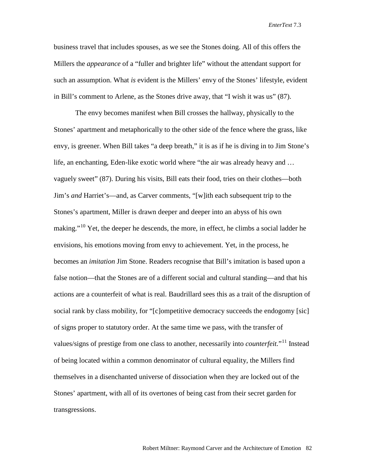business travel that includes spouses, as we see the Stones doing. All of this offers the Millers the *appearance* of a "fuller and brighter life" without the attendant support for such an assumption. What *is* evident is the Millers' envy of the Stones' lifestyle, evident in Bill's comment to Arlene, as the Stones drive away, that "I wish it was us" (87).

The envy becomes manifest when Bill crosses the hallway, physically to the Stones' apartment and metaphorically to the other side of the fence where the grass, like envy, is greener. When Bill takes "a deep breath," it is as if he is diving in to Jim Stone's life, an enchanting, Eden-like exotic world where "the air was already heavy and … vaguely sweet" (87). During his visits, Bill eats their food, tries on their clothes—both Jim's *and* Harriet's—and, as Carver comments, "[w]ith each subsequent trip to the Stones's apartment, Miller is drawn deeper and deeper into an abyss of his own making."<sup>[10](#page-13-9)</sup> Yet, the deeper he descends, the more, in effect, he climbs a social ladder he envisions, his emotions moving from envy to achievement. Yet, in the process, he becomes an *imitation* Jim Stone. Readers recognise that Bill's imitation is based upon a false notion—that the Stones are of a different social and cultural standing—and that his actions are a counterfeit of what is real. Baudrillard sees this as a trait of the disruption of social rank by class mobility, for "[c]ompetitive democracy succeeds the endogomy [sic] of signs proper to statutory order. At the same time we pass, with the transfer of values/signs of prestige from one class to another, necessarily into *counterfeit.*"[11](#page-13-10) Instead of being located within a common denominator of cultural equality, the Millers find themselves in a disenchanted universe of dissociation when they are locked out of the Stones' apartment, with all of its overtones of being cast from their secret garden for transgressions.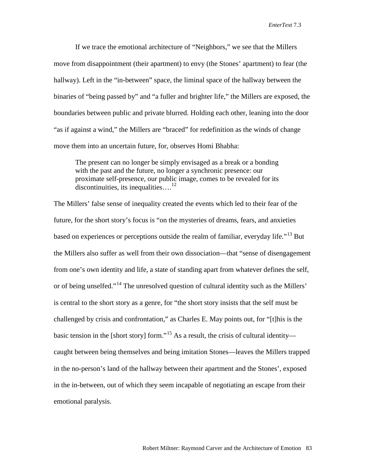If we trace the emotional architecture of "Neighbors," we see that the Millers move from disappointment (their apartment) to envy (the Stones' apartment) to fear (the hallway). Left in the "in-between" space, the liminal space of the hallway between the binaries of "being passed by" and "a fuller and brighter life," the Millers are exposed, the boundaries between public and private blurred. Holding each other, leaning into the door "as if against a wind," the Millers are "braced" for redefinition as the winds of change move them into an uncertain future, for, observes Homi Bhabha:

The present can no longer be simply envisaged as a break or a bonding with the past and the future, no longer a synchronic presence: our proximate self-presence, our public image, comes to be revealed for its discontinuities, its inequalities....<sup>[12](#page-13-11)</sup>

The Millers' false sense of inequality created the events which led to their fear of the future, for the short story's focus is "on the mysteries of dreams, fears, and anxieties based on experiences or perceptions outside the realm of familiar, everyday life.<sup>"[13](#page-13-12)</sup> But the Millers also suffer as well from their own dissociation—that "sense of disengagement from one's own identity and life, a state of standing apart from whatever defines the self, or of being unselfed."<sup>[14](#page-13-13)</sup> The unresolved question of cultural identity such as the Millers' is central to the short story as a genre, for "the short story insists that the self must be challenged by crisis and confrontation," as Charles E. May points out, for "[t]his is the basic tension in the [short story] form."<sup>[15](#page-13-14)</sup> As a result, the crisis of cultural identity caught between being themselves and being imitation Stones—leaves the Millers trapped in the no-person's land of the hallway between their apartment and the Stones', exposed in the in-between, out of which they seem incapable of negotiating an escape from their emotional paralysis.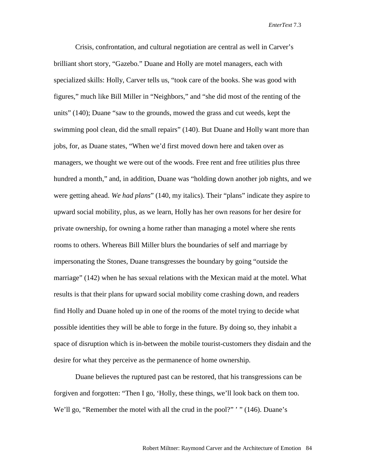Crisis, confrontation, and cultural negotiation are central as well in Carver's brilliant short story, "Gazebo." Duane and Holly are motel managers, each with specialized skills: Holly, Carver tells us, "took care of the books. She was good with figures," much like Bill Miller in "Neighbors," and "she did most of the renting of the units" (140); Duane "saw to the grounds, mowed the grass and cut weeds, kept the swimming pool clean, did the small repairs" (140). But Duane and Holly want more than jobs, for, as Duane states, "When we'd first moved down here and taken over as managers, we thought we were out of the woods. Free rent and free utilities plus three hundred a month," and, in addition, Duane was "holding down another job nights, and we were getting ahead. *We had plans*" (140, my italics). Their "plans" indicate they aspire to upward social mobility, plus, as we learn, Holly has her own reasons for her desire for private ownership, for owning a home rather than managing a motel where she rents rooms to others. Whereas Bill Miller blurs the boundaries of self and marriage by impersonating the Stones, Duane transgresses the boundary by going "outside the marriage" (142) when he has sexual relations with the Mexican maid at the motel. What results is that their plans for upward social mobility come crashing down, and readers find Holly and Duane holed up in one of the rooms of the motel trying to decide what possible identities they will be able to forge in the future. By doing so, they inhabit a space of disruption which is in-between the mobile tourist-customers they disdain and the desire for what they perceive as the permanence of home ownership.

Duane believes the ruptured past can be restored, that his transgressions can be forgiven and forgotten: "Then I go, 'Holly, these things, we'll look back on them too. We'll go, "Remember the motel with all the crud in the pool?" ' " (146). Duane's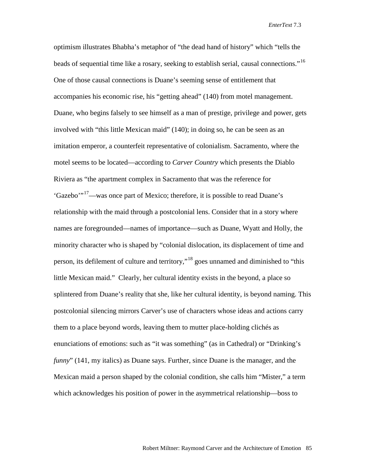optimism illustrates Bhabha's metaphor of "the dead hand of history" which "tells the beads of sequential time like a rosary, seeking to establish serial, causal connections."[16](#page-13-15) One of those causal connections is Duane's seeming sense of entitlement that accompanies his economic rise, his "getting ahead" (140) from motel management. Duane, who begins falsely to see himself as a man of prestige, privilege and power, gets involved with "this little Mexican maid" (140); in doing so, he can be seen as an imitation emperor, a counterfeit representative of colonialism. Sacramento, where the motel seems to be located—according to *Carver Country* which presents the Diablo Riviera as "the apartment complex in Sacramento that was the reference for 'Gazebo'"[17—](#page-13-16)was once part of Mexico; therefore, it is possible to read Duane's relationship with the maid through a postcolonial lens. Consider that in a story where names are foregrounded—names of importance—such as Duane, Wyatt and Holly, the minority character who is shaped by "colonial dislocation, its displacement of time and person, its defilement of culture and territory,"[18](#page-13-17) goes unnamed and diminished to "this little Mexican maid." Clearly, her cultural identity exists in the beyond, a place so splintered from Duane's reality that she, like her cultural identity, is beyond naming. This postcolonial silencing mirrors Carver's use of characters whose ideas and actions carry them to a place beyond words, leaving them to mutter place-holding clichés as enunciations of emotions: such as "it was something" (as in Cathedral) or "Drinking's *funny*" (141, my italics) as Duane says. Further, since Duane is the manager, and the Mexican maid a person shaped by the colonial condition, she calls him "Mister," a term which acknowledges his position of power in the asymmetrical relationship—boss to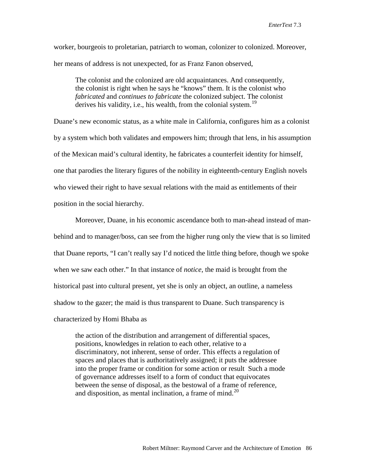worker, bourgeois to proletarian, patriarch to woman, colonizer to colonized. Moreover, her means of address is not unexpected, for as Franz Fanon observed,

The colonist and the colonized are old acquaintances. And consequently, the colonist is right when he says he "knows" them. It is the colonist who *fabricated* and *continues to fabricate* the colonized subject. The colonist derives his validity, i.e., his wealth, from the colonial system.<sup>[19](#page-13-18)</sup>

Duane's new economic status, as a white male in California, configures him as a colonist by a system which both validates and empowers him; through that lens, in his assumption of the Mexican maid's cultural identity, he fabricates a counterfeit identity for himself, one that parodies the literary figures of the nobility in eighteenth-century English novels who viewed their right to have sexual relations with the maid as entitlements of their position in the social hierarchy.

Moreover, Duane, in his economic ascendance both to man-ahead instead of manbehind and to manager/boss, can see from the higher rung only the view that is so limited that Duane reports, "I can't really say I'd noticed the little thing before, though we spoke when we saw each other." In that instance of *notice*, the maid is brought from the historical past into cultural present, yet she is only an object, an outline, a nameless shadow to the gazer; the maid is thus transparent to Duane. Such transparency is characterized by Homi Bhaba as

the action of the distribution and arrangement of differential spaces, positions, knowledges in relation to each other, relative to a discriminatory, not inherent, sense of order. This effects a regulation of spaces and places that is authoritatively assigned; it puts the addressee into the proper frame or condition for some action or result Such a mode of governance addresses itself to a form of conduct that equivocates between the sense of disposal, as the bestowal of a frame of reference, and disposition, as mental inclination, a frame of mind.<sup>[20](#page-13-19)</sup>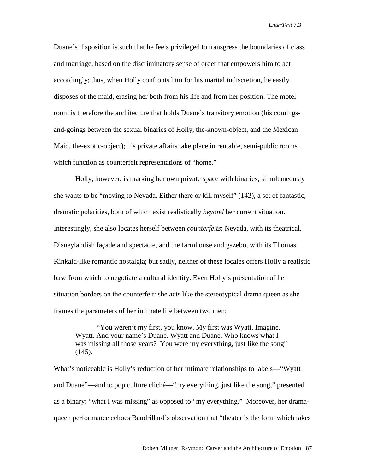Duane's disposition is such that he feels privileged to transgress the boundaries of class and marriage, based on the discriminatory sense of order that empowers him to act accordingly; thus, when Holly confronts him for his marital indiscretion, he easily disposes of the maid, erasing her both from his life and from her position. The motel room is therefore the architecture that holds Duane's transitory emotion (his comingsand-goings between the sexual binaries of Holly, the-known-object, and the Mexican Maid, the-exotic-object); his private affairs take place in rentable, semi-public rooms which function as counterfeit representations of "home."

Holly, however, is marking her own private space with binaries; simultaneously she wants to be "moving to Nevada. Either there or kill myself" (142), a set of fantastic, dramatic polarities, both of which exist realistically *beyond* her current situation. Interestingly, she also locates herself between *counterfeits*: Nevada, with its theatrical, Disneylandish façade and spectacle, and the farmhouse and gazebo, with its Thomas Kinkaid-like romantic nostalgia; but sadly, neither of these locales offers Holly a realistic base from which to negotiate a cultural identity. Even Holly's presentation of her situation borders on the counterfeit: she acts like the stereotypical drama queen as she frames the parameters of her intimate life between two men:

"You weren't my first, you know. My first was Wyatt. Imagine. Wyatt. And your name's Duane. Wyatt and Duane. Who knows what I was missing all those years? You were my everything, just like the song"  $(145).$ 

What's noticeable is Holly's reduction of her intimate relationships to labels—"Wyatt and Duane"—and to pop culture cliché—"my everything, just like the song," presented as a binary: "what I was missing" as opposed to "my everything." Moreover, her dramaqueen performance echoes Baudrillard's observation that "theater is the form which takes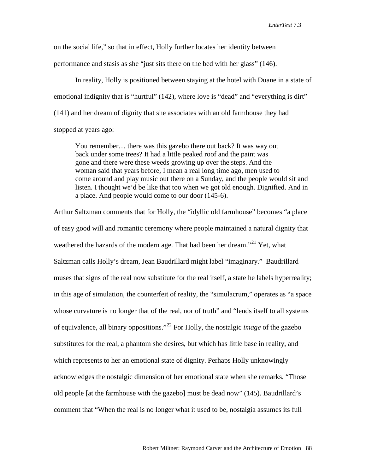on the social life," so that in effect, Holly further locates her identity between performance and stasis as she "just sits there on the bed with her glass" (146).

In reality, Holly is positioned between staying at the hotel with Duane in a state of emotional indignity that is "hurtful" (142), where love is "dead" and "everything is dirt" (141) and her dream of dignity that she associates with an old farmhouse they had stopped at years ago:

You remember… there was this gazebo there out back? It was way out back under some trees? It had a little peaked roof and the paint was gone and there were these weeds growing up over the steps. And the woman said that years before, I mean a real long time ago, men used to come around and play music out there on a Sunday, and the people would sit and listen. I thought we'd be like that too when we got old enough. Dignified. And in a place. And people would come to our door (145-6).

Arthur Saltzman comments that for Holly, the "idyllic old farmhouse" becomes "a place of easy good will and romantic ceremony where people maintained a natural dignity that weathered the hazards of the modern age. That had been her dream."<sup>[21](#page-13-20)</sup> Yet, what Saltzman calls Holly's dream, Jean Baudrillard might label "imaginary." Baudrillard muses that signs of the real now substitute for the real itself, a state he labels hyperreality; in this age of simulation, the counterfeit of reality, the "simulacrum," operates as "a space whose curvature is no longer that of the real, nor of truth" and "lends itself to all systems of equivalence, all binary oppositions."[22](#page-13-21) For Holly, the nostalgic *image* of the gazebo substitutes for the real, a phantom she desires, but which has little base in reality, and which represents to her an emotional state of dignity. Perhaps Holly unknowingly acknowledges the nostalgic dimension of her emotional state when she remarks, "Those old people [at the farmhouse with the gazebo] must be dead now" (145). Baudrillard's comment that "When the real is no longer what it used to be, nostalgia assumes its full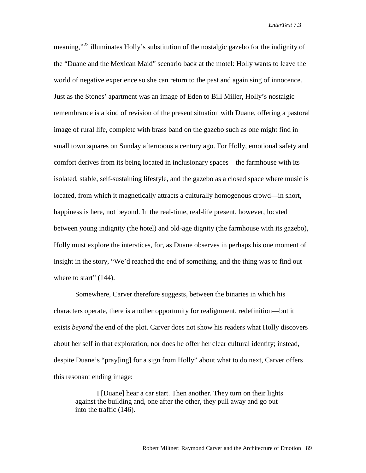meaning,"<sup>[23](#page-13-22)</sup> illuminates Holly's substitution of the nostalgic gazebo for the indignity of the "Duane and the Mexican Maid" scenario back at the motel: Holly wants to leave the world of negative experience so she can return to the past and again sing of innocence. Just as the Stones' apartment was an image of Eden to Bill Miller, Holly's nostalgic remembrance is a kind of revision of the present situation with Duane, offering a pastoral image of rural life, complete with brass band on the gazebo such as one might find in small town squares on Sunday afternoons a century ago. For Holly, emotional safety and comfort derives from its being located in inclusionary spaces—the farmhouse with its isolated, stable, self-sustaining lifestyle, and the gazebo as a closed space where music is located, from which it magnetically attracts a culturally homogenous crowd—in short, happiness is here, not beyond. In the real-time, real-life present, however, located between young indignity (the hotel) and old-age dignity (the farmhouse with its gazebo), Holly must explore the interstices, for, as Duane observes in perhaps his one moment of insight in the story, "We'd reached the end of something, and the thing was to find out where to start"  $(144)$ .

Somewhere, Carver therefore suggests, between the binaries in which his characters operate, there is another opportunity for realignment, redefinition—but it exists *beyond* the end of the plot. Carver does not show his readers what Holly discovers about her self in that exploration, nor does he offer her clear cultural identity; instead, despite Duane's "pray[ing] for a sign from Holly" about what to do next, Carver offers this resonant ending image:

I [Duane] hear a car start. Then another. They turn on their lights against the building and, one after the other, they pull away and go out into the traffic (146).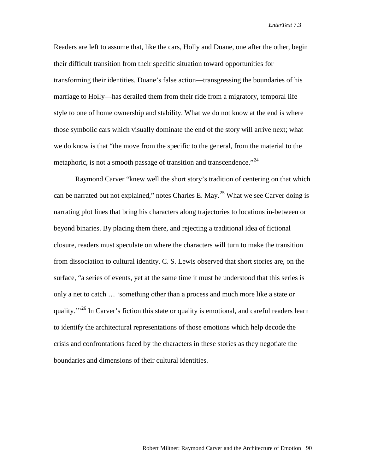Readers are left to assume that, like the cars, Holly and Duane, one after the other, begin their difficult transition from their specific situation toward opportunities for transforming their identities. Duane's false action—transgressing the boundaries of his marriage to Holly—has derailed them from their ride from a migratory, temporal life style to one of home ownership and stability. What we do not know at the end is where those symbolic cars which visually dominate the end of the story will arrive next; what we do know is that "the move from the specific to the general, from the material to the metaphoric, is not a smooth passage of transition and transcendence.<sup> $24$ </sup>

Raymond Carver "knew well the short story's tradition of centering on that which can be narrated but not explained," notes Charles E. May.<sup>[25](#page-13-24)</sup> What we see Carver doing is narrating plot lines that bring his characters along trajectories to locations in-between or beyond binaries. By placing them there, and rejecting a traditional idea of fictional closure, readers must speculate on where the characters will turn to make the transition from dissociation to cultural identity. C. S. Lewis observed that short stories are, on the surface, "a series of events, yet at the same time it must be understood that this series is only a net to catch … 'something other than a process and much more like a state or quality."<sup>[26](#page-13-25)</sup> In Carver's fiction this state or quality is emotional, and careful readers learn to identify the architectural representations of those emotions which help decode the crisis and confrontations faced by the characters in these stories as they negotiate the boundaries and dimensions of their cultural identities.